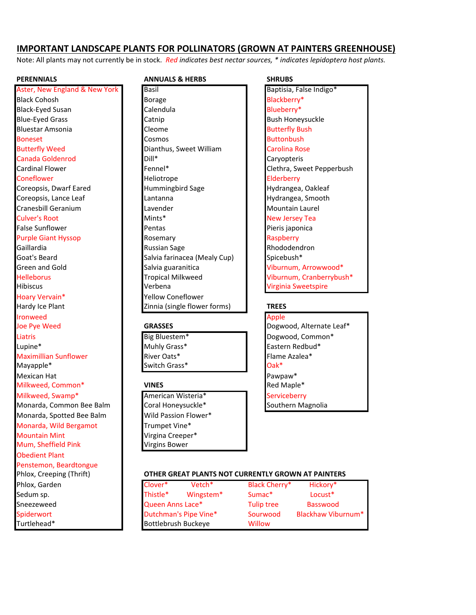# **IMPORTANT LANDSCAPE PLANTS FOR POLLINATORS (GROWN AT PAINTERS GREENHOUSE)**

Note: All plants may not currently be in stock. *Red indicates best nectar sources,* \* indicates lepidoptera host plants.

Aster, New England & New York Basil Baptisia, False Indigo\* Black-Eyed Susan **Blueberry**\* **Calendula** Calendula Blueberry\* Bluestar Amsonia **Butterfly** Bush and Butterfly Bush and Butterfly Bush and Butterfly Bush False Sunflower **Pentas** Pentas Pentas Peris japonica Hibiscus **Virginia Sweetspire** Verbena Virginia Sweetspire Hoary Vervain\* The Muslim of Pellow Coneflower Hardy Ice Plant **Network Constructs Zinnia** (single flower forms) **TREES** Ironweed Apple and the Contract of the Contract of the Contract of the Contract of the Contract of the Contract of the Contract of the Contract of the Contract of the Contract of the Contract of the Contract of the Contrac **Joe Pve Weed CRASSES GRASSES GRASSES** Dogwood, Alternate Leaf\* Liatris **Big Bluestem Big Bluestem Big Bluestem Big Bluestem Big Bluestem Big Bluestem B** Dogwood, Common\* Lupine\* **Eastern Redbud\* Muhly Grass\*** The Lupine **Eastern Redbud\*** Maximillian Sunflower **River Cats River Oats River Cats River Cats River Cats River Cats River Cats River Cats River Cats River Cats River Cats River Cats River Cats River Cats River Cats Rive** Mayapple\* Switch Grass\* Cak\* Mexican Hat **Pawpaw\*** Pawpaw\* **Pawpaw\*** Pawpaw\* **Milkweed, Common\* VINES Red Maple\* Red Maple**\* Milkweed, Swamp\* American Wisteria\* Serviceberry Monarda, Common Bee Balm Coral Honeysuckle\* Southern Magnolia Monarda, Spotted Bee Balm Vild Passion Flower\* Monarda, Wild Bergamot **Trumpet Vine\*** Mountain Mint **Virgina** Creeper\* Mum, Sheffield Pink **Virgins Bower Obedient Plant** Penstemon, Beardtongue Phlox, Garden Sneezeweed

## **PERENNIALS ANNUALS & HERBS SHRUBS**

**Black Cohosh Borage Borage Blackberry**\* Blue-Eyed Grass **Catnip Bush Honeysuckle Catnip Catnip Catnic Contract Bush Honeysuckle** Boneset **Cosmos** Buttonbush Buttonbush Buttonbush Buttonbush Buttonbush Buttonbush Buttonbush Buttonbush Buttonbush Butterfly Weed **Dianthus, Sweet William** Carolina Rose Canada Goldenrod Dill\* Caryopteris Cardinal Flower **Fennel\*** Fennel\* **Fennel\*** Clethra, Sweet Pepperbush Coneflower **Elderberry Heliotrope** Heliotrope **Heliotrope** Elderberry Coreopsis, Dwarf Eared **Hummingbird** Sage Hydrangea, Oakleaf Coreopsis, Lance Leaf Lantanna Lantanna Hydrangea, Smooth Cranesbill Geranium **Lavender** Lavender **Nountain Laurel** Culver's Root **Mints** Mints\* New Jersey Tea Purple Giant Hyssop **Rosemary Rosemary Raspberry** Raspberry Gaillardia **Russian** Sage Russian Sage Rhododendron Goat's Beard **Salvia farinacea** (Mealy Cup) Spicebush\* Green and Gold **Salvia** guaranitica Collection of Viburnum, Arrowwood\* Helleborus Tropical Milkweed Viburnum, Cranberrybush\*

### Phlox, Creeping (Thrift) **DEMOGREAT PLANTS NOT CURRENTLY GROWN AT PAINTERS**

| Phlox, Garden | Clover*                    | Vetch <sup>*</sup>    | Black Cherry*      | Hickory*           |
|---------------|----------------------------|-----------------------|--------------------|--------------------|
| Sedum sp.     | Thistle*                   | Wingstem <sup>*</sup> | Sumac <sup>*</sup> | $Locust*$          |
| Sneezeweed    | Queen Anns Lace*           |                       | Tulip tree         | Basswood           |
| Spiderwort    |                            | Dutchman's Pipe Vine* |                    | Blackhaw Viburnum* |
| Turtlehead*   | <b>Bottlebrush Buckeye</b> |                       | Willow             |                    |